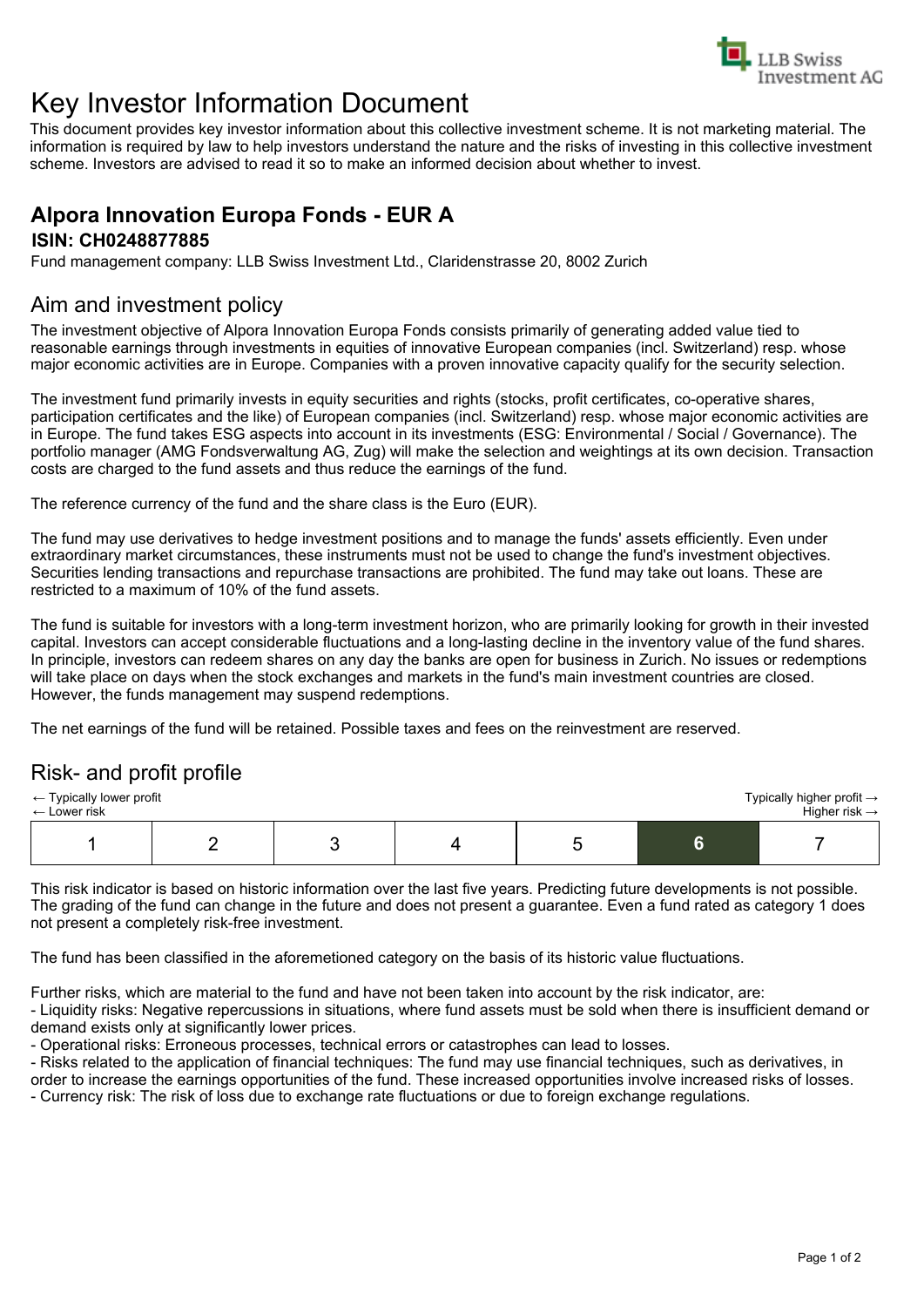

# Key Investor Information Document

This document provides key investor information about this collective investment scheme. It is not marketing material. The information is required by law to help investors understand the nature and the risks of investing in this collective investment scheme. Investors are advised to read it so to make an informed decision about whether to invest.

### **Alpora Innovation Europa Fonds - EUR A ISIN: CH0248877885**

Fund management company: LLB Swiss Investment Ltd., Claridenstrasse 20, 8002 Zurich

## Aim and investment policy

The investment objective of Alpora Innovation Europa Fonds consists primarily of generating added value tied to reasonable earnings through investments in equities of innovative European companies (incl. Switzerland) resp. whose major economic activities are in Europe. Companies with a proven innovative capacity qualify for the security selection.

The investment fund primarily invests in equity securities and rights (stocks, profit certificates, co-operative shares, participation certificates and the like) of European companies (incl. Switzerland) resp. whose major economic activities are in Europe. The fund takes ESG aspects into account in its investments (ESG: Environmental / Social / Governance). The portfolio manager (AMG Fondsverwaltung AG, Zug) will make the selection and weightings at its own decision. Transaction costs are charged to the fund assets and thus reduce the earnings of the fund.

The reference currency of the fund and the share class is the Euro (EUR).

The fund may use derivatives to hedge investment positions and to manage the funds' assets efficiently. Even under extraordinary market circumstances, these instruments must not be used to change the fund's investment objectives. Securities lending transactions and repurchase transactions are prohibited. The fund may take out loans. These are restricted to a maximum of 10% of the fund assets.

The fund is suitable for investors with a long-term investment horizon, who are primarily looking for growth in their invested capital. Investors can accept considerable fluctuations and a long-lasting decline in the inventory value of the fund shares. In principle, investors can redeem shares on any day the banks are open for business in Zurich. No issues or redemptions will take place on days when the stock exchanges and markets in the fund's main investment countries are closed. However, the funds management may suspend redemptions.

The net earnings of the fund will be retained. Possible taxes and fees on the reinvestment are reserved.

# Risk- and profit profile

| Typically higher profit $\rightarrow$<br>$\leftarrow$ Typically lower profit<br>Higher risk $\rightarrow$<br>$\leftarrow$ Lower risk |  |  |  |  |  |  |
|--------------------------------------------------------------------------------------------------------------------------------------|--|--|--|--|--|--|
|                                                                                                                                      |  |  |  |  |  |  |

This risk indicator is based on historic information over the last five years. Predicting future developments is not possible. The grading of the fund can change in the future and does not present a guarantee. Even a fund rated as category 1 does not present a completely risk-free investment.

The fund has been classified in the aforemetioned category on the basis of its historic value fluctuations.

Further risks, which are material to the fund and have not been taken into account by the risk indicator, are:

- Liquidity risks: Negative repercussions in situations, where fund assets must be sold when there is insufficient demand or demand exists only at significantly lower prices.

- Operational risks: Erroneous processes, technical errors or catastrophes can lead to losses.

- Risks related to the application of financial techniques: The fund may use financial techniques, such as derivatives, in

order to increase the earnings opportunities of the fund. These increased opportunities involve increased risks of losses. - Currency risk: The risk of loss due to exchange rate fluctuations or due to foreign exchange regulations.